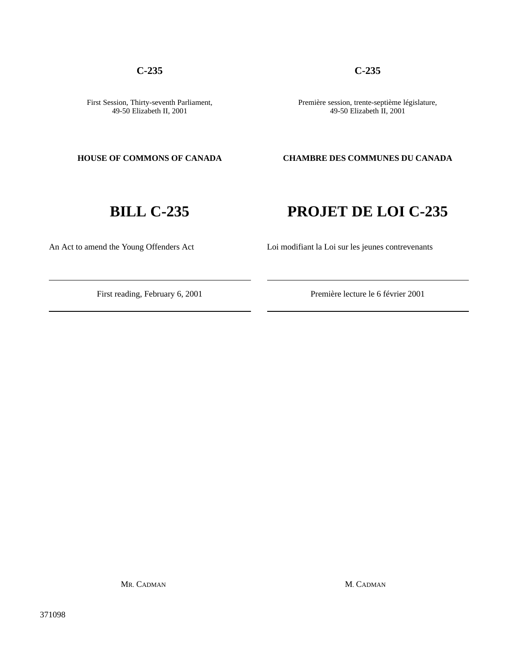An Act to amend the Young Offenders Act Loi modifiant la Loi sur les jeunes contrevenants

371098

## **C-235 C-235**

Première session, trente-septième législature, 49-50 Elizabeth II, 2001

**HOUSE OF COMMONS OF CANADA CHAMBRE DES COMMUNES DU CANADA**

# **BILL C-235 PROJET DE LOI C-235**

# First reading, February 6, 2001 Première lecture le 6 février 2001

MR. CADMAN M. CADMAN

First Session, Thirty-seventh Parliament, 49-50 Elizabeth II, 2001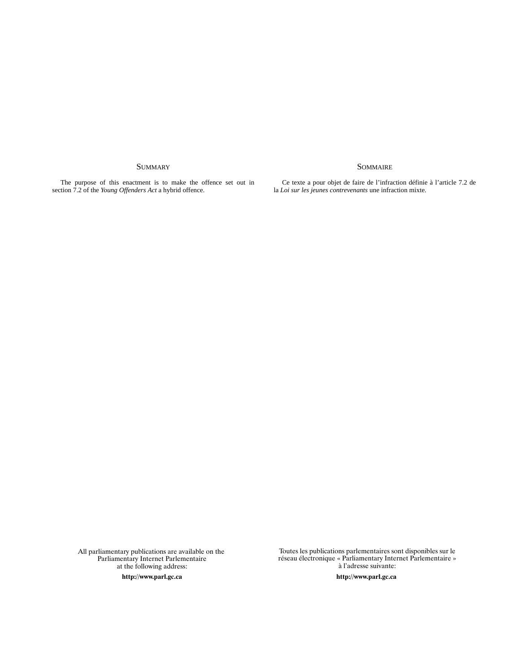### SUMMARY SOMMAIRE

The purpose of this enactment is to make the offence set out in section 7.2 of the *Young Offenders Act* a hybrid offence.

Ce texte a pour objet de faire de l'infraction définie à l'article 7.2 de la *Loi sur les jeunes contrevenants* une infraction mixte.

All parliamentary publications are available on the Parliamentary Internet Parlementaire at the following address:

> http://www.parl expected by the contract of the contract of the contract of the contract of the contract of the contract of the contract of the contract of the contract of the contract of the contract of the contract of the contract of th

Toutes les publications parlementaires sont disponibles sur le réseau électronique « Parliamentary Internet Parlementaire » à l'adresse suivante:

tp://www.parl.gc.ca